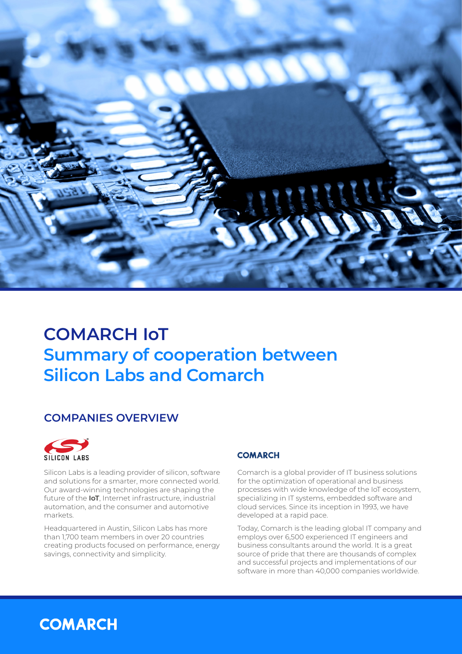

# **COMARCH IoT Summary of cooperation between Silicon Labs and Comarch**

#### **COMPANIES OVERVIEW**



Silicon Labs is a leading provider of silicon, software and solutions for a smarter, more connected world. Our award-winning technologies are shaping the future of the **IoT**, Internet infrastructure, industrial automation, and the consumer and automotive markets.

Headquartered in Austin, Silicon Labs has more than 1,700 team members in over 20 countries creating products focused on performance, energy savings, connectivity and simplicity.

#### **COMARCH**

Comarch is a global provider of IT business solutions for the optimization of operational and business processes with wide knowledge of the IoT ecosystem, specializing in IT systems, embedded software and cloud services. Since its inception in 1993, we have developed at a rapid pace.

Today, Comarch is the leading global IT company and employs over 6,500 experienced IT engineers and business consultants around the world. It is a great source of pride that there are thousands of complex and successful projects and implementations of our software in more than 40,000 companies worldwide.